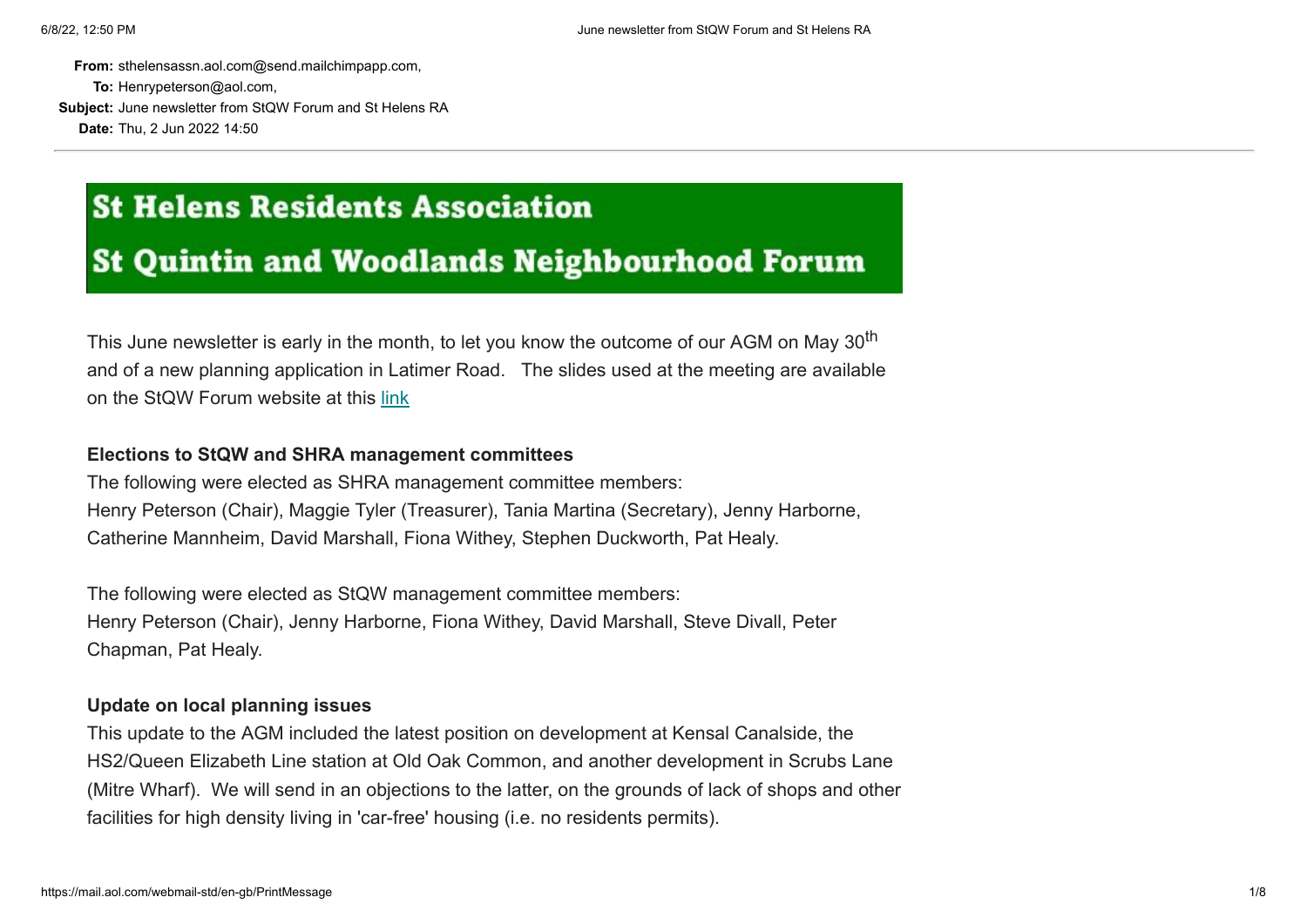**From:** sthelensassn.aol.com@send.mailchimpapp.com, **To:** Henrypeterson@aol.com, **Subject:** June newsletter from StQW Forum and St Helens RA **Date:** Thu, 2 Jun 2022 14:50

# **St Helens Residents Association**

# **St Quintin and Woodlands Neighbourhood Forum**

This June newsletter is early in the month, to let you know the outcome of our AGM on May 30<sup>th</sup> and of a new planning application in Latimer Road. The slides used at the meeting are available on the StQW Forum website at this [link](https://sthelensresidents.us8.list-manage.com/track/click?u=c9b2cf8a83a98f3a41a3651c9&id=40c5a9852c&e=e04a104173)

#### **Elections to StQW and SHRA management committees**

The following were elected as SHRA management committee members: Henry Peterson (Chair), Maggie Tyler (Treasurer), Tania Martina (Secretary), Jenny Harborne, Catherine Mannheim, David Marshall, Fiona Withey, Stephen Duckworth, Pat Healy.

The following were elected as StQW management committee members: Henry Peterson (Chair), Jenny Harborne, Fiona Withey, David Marshall, Steve Divall, Peter Chapman, Pat Healy.

#### **Update on local planning issues**

This update to the AGM included the latest position on development at Kensal Canalside, the HS2/Queen Elizabeth Line station at Old Oak Common, and another development in Scrubs Lane (Mitre Wharf). We will send in an objections to the latter, on the grounds of lack of shops and other facilities for high density living in 'car-free' housing (i.e. no residents permits).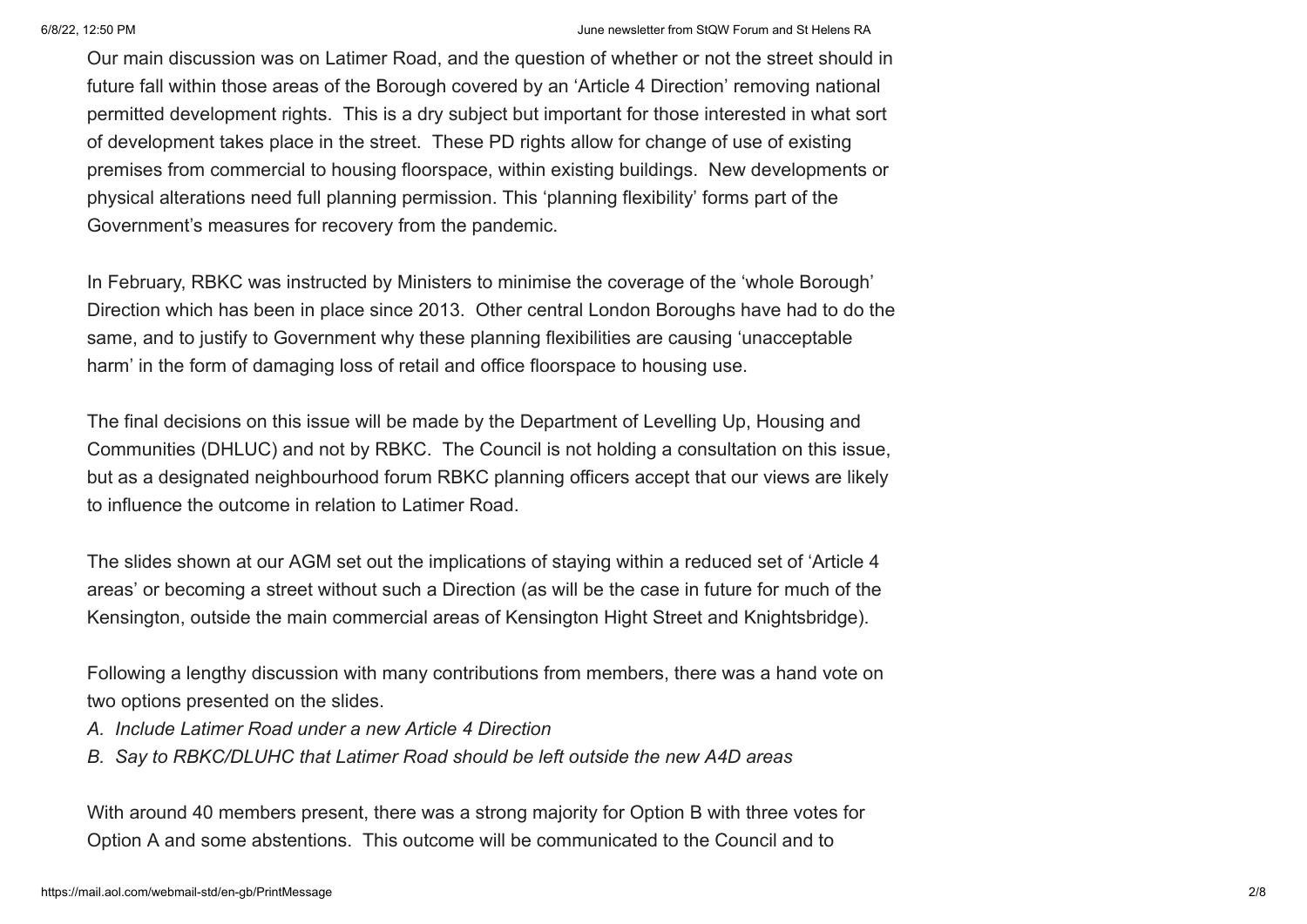#### 6/8/22, 12:50 PM June newsletter from StQW Forum and St Helens RA

Our main discussion was on Latimer Road, and the question of whether or not the street should in future fall within those areas of the Borough covered by an 'Article 4 Direction' removing national permitted development rights. This is a dry subject but important for those interested in what sort of development takes place in the street. These PD rights allow for change of use of existing premises from commercial to housing floorspace, within existing buildings. New developments or physical alterations need full planning permission. This 'planning flexibility' forms part of the Government's measures for recovery from the pandemic.

In February, RBKC was instructed by Ministers to minimise the coverage of the 'whole Borough' Direction which has been in place since 2013. Other central London Boroughs have had to do the same, and to justify to Government why these planning flexibilities are causing 'unacceptable harm' in the form of damaging loss of retail and office floorspace to housing use.

The final decisions on this issue will be made by the Department of Levelling Up, Housing and Communities (DHLUC) and not by RBKC. The Council is not holding a consultation on this issue, but as a designated neighbourhood forum RBKC planning officers accept that our views are likely to influence the outcome in relation to Latimer Road.

The slides shown at our AGM set out the implications of staying within a reduced set of 'Article 4 areas' or becoming a street without such a Direction (as will be the case in future for much of the Kensington, outside the main commercial areas of Kensington Hight Street and Knightsbridge).

Following a lengthy discussion with many contributions from members, there was a hand vote on two options presented on the slides.

- *A. Include Latimer Road under a new Article 4 Direction*
- *B. Say to RBKC/DLUHC that Latimer Road should be left outside the new A4D areas*

With around 40 members present, there was a strong majority for Option B with three votes for Option A and some abstentions. This outcome will be communicated to the Council and to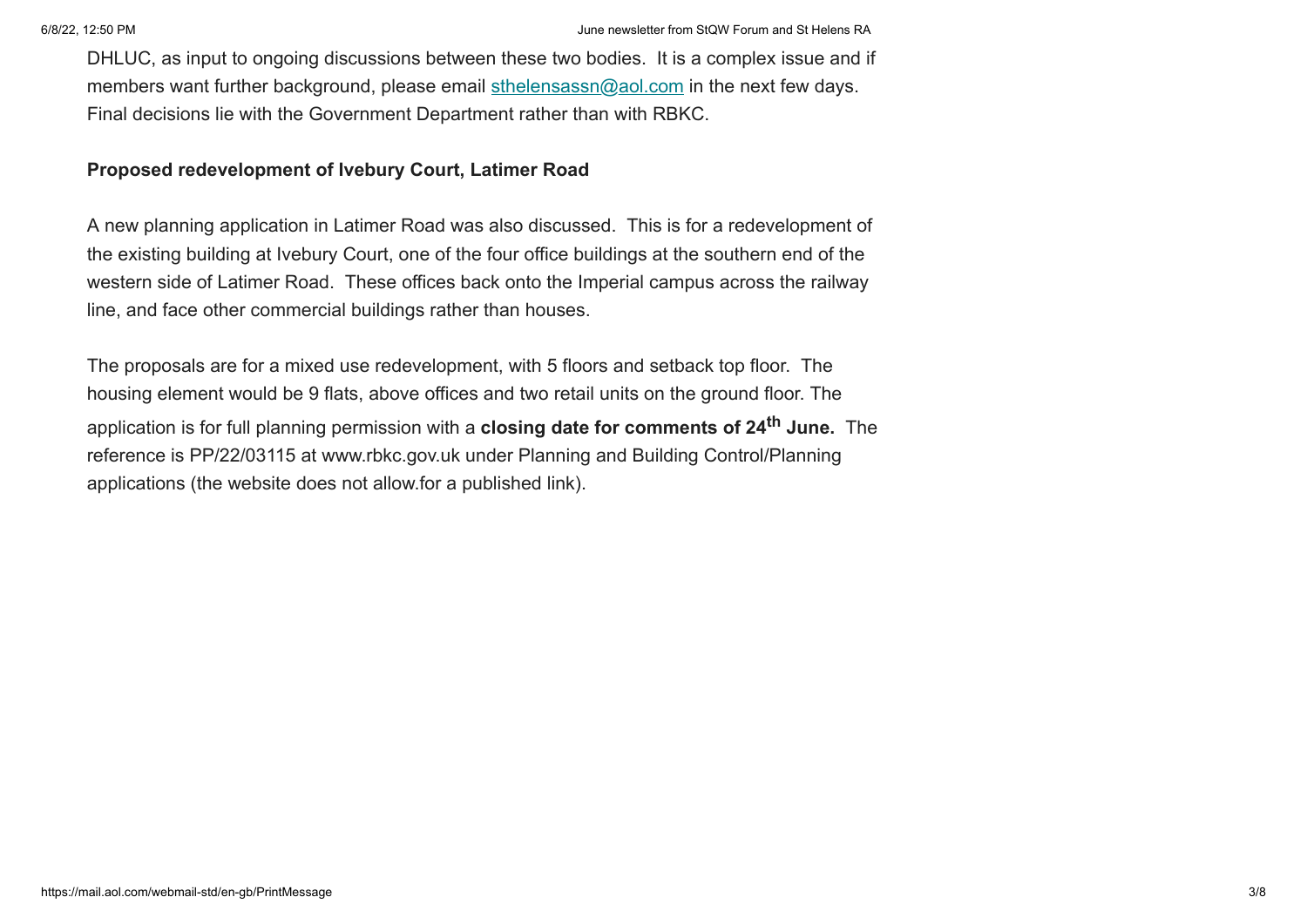DHLUC, as input to ongoing discussions between these two bodies. It is a complex issue and if members want further background, please email  $\frac{\text{sthe} \cdot \text{hene} \cdot \text{com}}{\text{athe} \cdot \text{hene} \cdot \text{com}}$  in the next few days. Final decisions lie with the Government Department rather than with RBKC.

### **Proposed redevelopment of Ivebury Court, Latimer Road**

A new planning application in Latimer Road was also discussed. This is for a redevelopment of the existing building at Ivebury Court, one of the four office buildings at the southern end of the western side of Latimer Road. These offices back onto the Imperial campus across the railway line, and face other commercial buildings rather than houses.

The proposals are for a mixed use redevelopment, with 5 floors and setback top floor. The housing element would be 9 flats, above offices and two retail units on the ground floor. The application is for full planning permission with a **closing date for comments of 24th June.** The reference is PP/22/03115 at www.rbkc.gov.uk under Planning and Building Control/Planning applications (the website does not allow.for a published link).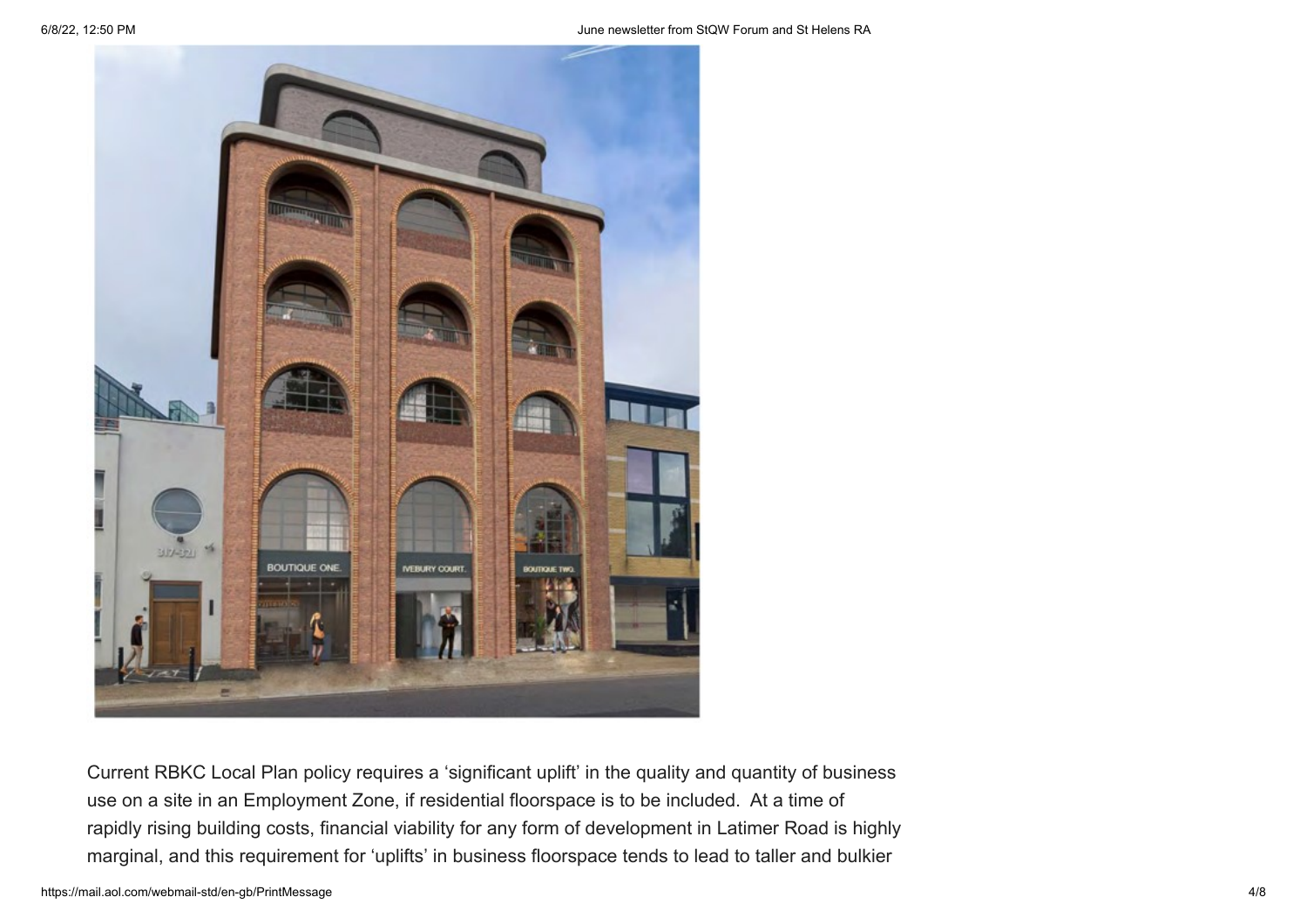

Current RBKC Local Plan policy requires a 'significant uplift' in the quality and quantity of business use on a site in an Employment Zone, if residential floorspace is to be included. At a time of rapidly rising building costs, financial viability for any form of development in Latimer Road is highly marginal, and this requirement for 'uplifts' in business floorspace tends to lead to taller and bulkier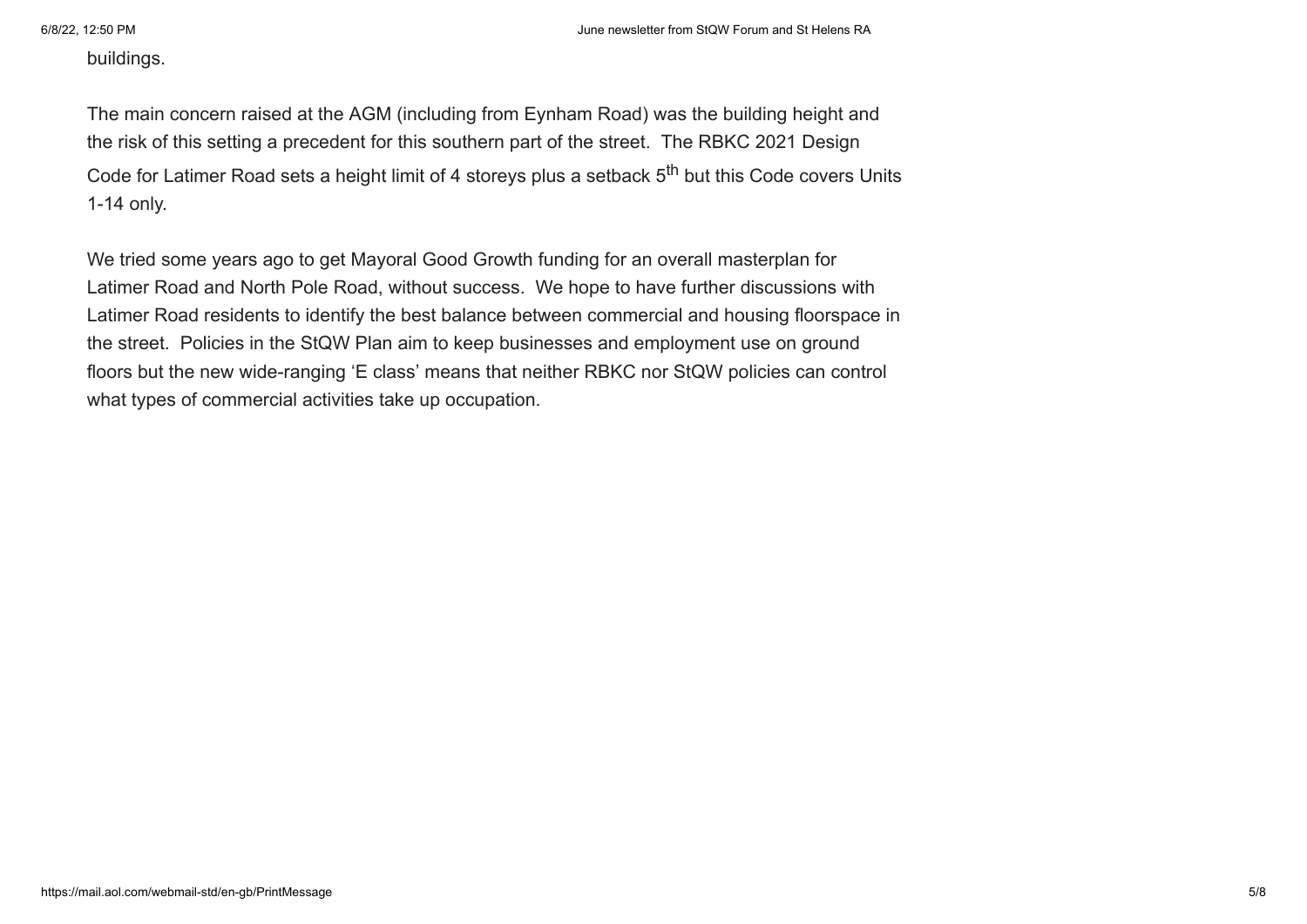buildings.

The main concern raised at the AGM (including from Eynham Road) was the building height and the risk of this setting a precedent for this southern part of the street. The RBKC 2021 Design Code for Latimer Road sets a height limit of 4 storeys plus a setback 5<sup>th</sup> but this Code covers Units 1-14 only.

We tried some years ago to get Mayoral Good Growth funding for an overall masterplan for Latimer Road and North Pole Road, without success. We hope to have further discussions with Latimer Road residents to identify the best balance between commercial and housing floorspace in the street. Policies in the StQW Plan aim to keep businesses and employment use on ground floors but the new wide-ranging 'E class' means that neither RBKC nor StQW policies can control what types of commercial activities take up occupation.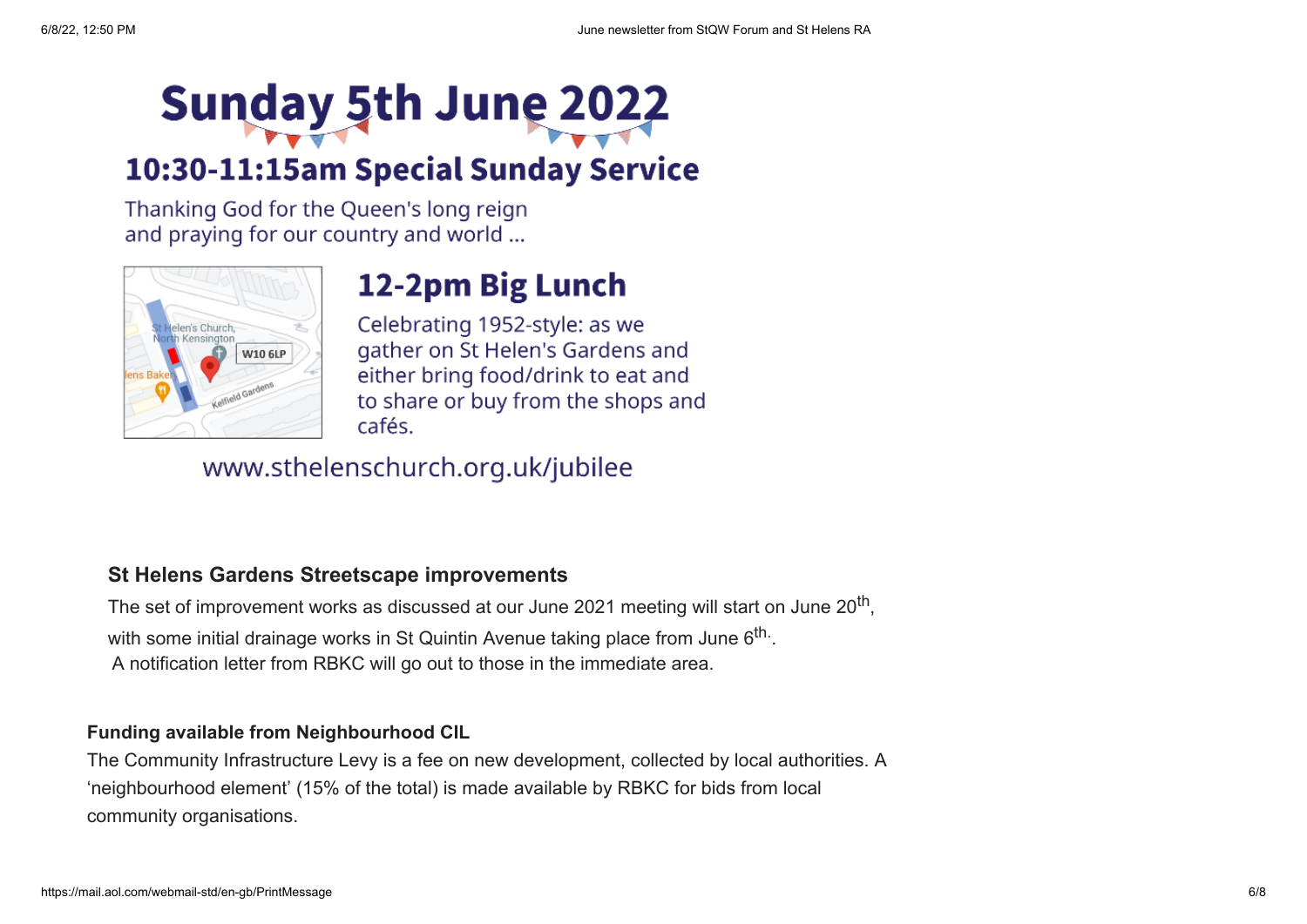# Sunday 5th June 2022

# 10:30-11:15am Special Sunday Service

Thanking God for the Queen's long reign and praying for our country and world ...



# 12-2pm Big Lunch

Celebrating 1952-style: as we gather on St Helen's Gardens and either bring food/drink to eat and to share or buy from the shops and cafés.

## www.sthelenschurch.org.uk/jubilee

## **St Helens Gardens Streetscape improvements**

The set of improvement works as discussed at our June 2021 meeting will start on June 20 $^{\sf th}$ , with some initial drainage works in St Quintin Avenue taking place from June 6 $^{\sf th.}.$ A notification letter from RBKC will go out to those in the immediate area.

## **Funding available from Neighbourhood CIL**

The Community Infrastructure Levy is a fee on new development, collected by local authorities. A 'neighbourhood element' (15% of the total) is made available by RBKC for bids from local community organisations.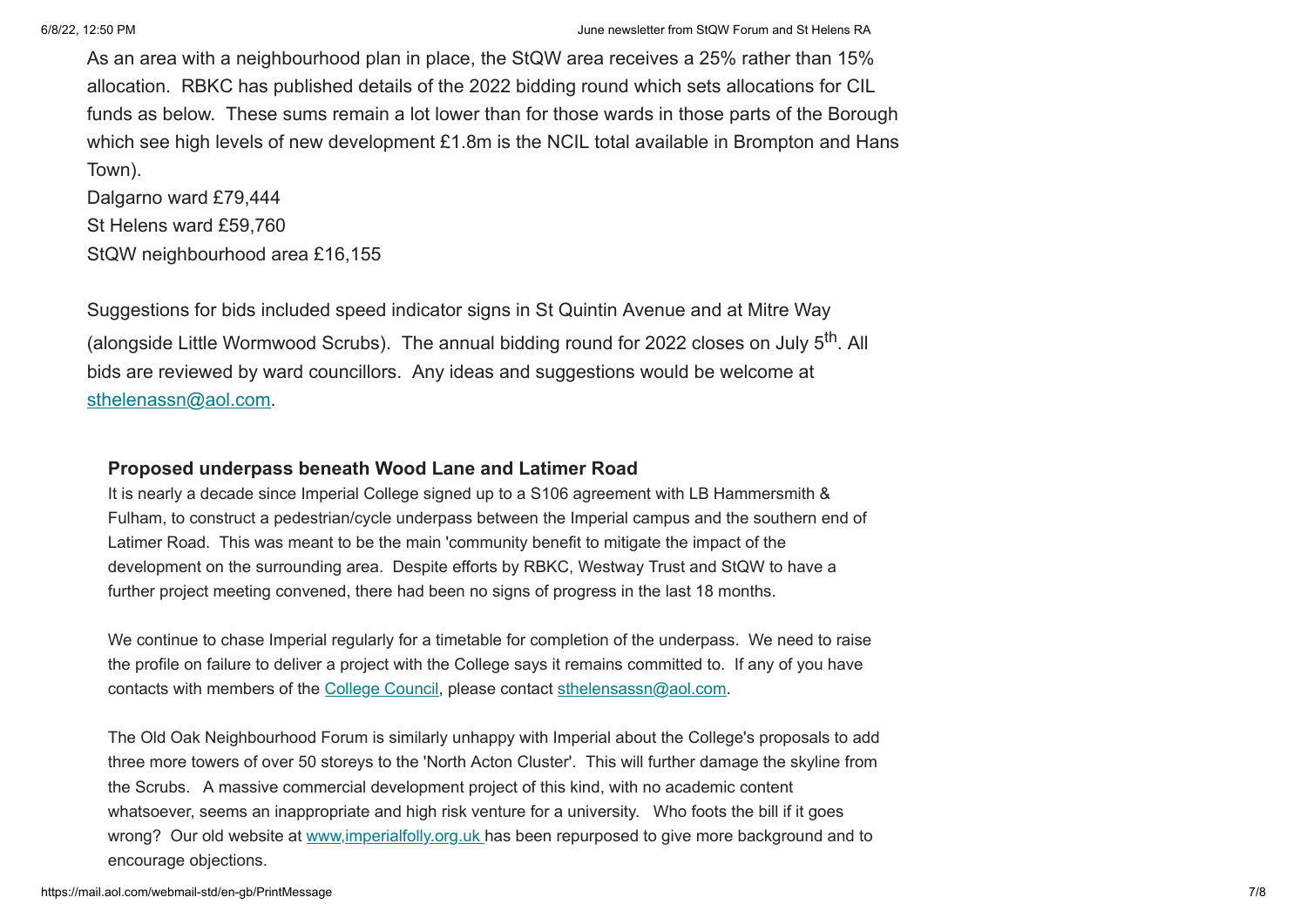As an area with a neighbourhood plan in place, the StQW area receives a 25% rather than 15% allocation. RBKC has published details of the 2022 bidding round which sets allocations for CIL funds as below. These sums remain a lot lower than for those wards in those parts of the Borough which see high levels of new development £1.8m is the NCIL total available in Brompton and Hans Town).

Dalgarno ward £79,444 St Helens ward £59,760 StQW neighbourhood area £16,155

Suggestions for bids included speed indicator signs in St Quintin Avenue and at Mitre Way (alongside Little Wormwood Scrubs). The annual bidding round for 2022 closes on July 5<sup>th</sup>. All bids are reviewed by ward councillors. Any ideas and suggestions would be welcome at [sthelenassn@aol.com.](mailto:sthelenassn@aol.com)

#### **Proposed underpass beneath Wood Lane and Latimer Road**

It is nearly a decade since Imperial College signed up to a S106 agreement with LB Hammersmith & Fulham, to construct a pedestrian/cycle underpass between the Imperial campus and the southern end of Latimer Road. This was meant to be the main 'community benefit to mitigate the impact of the development on the surrounding area. Despite efforts by RBKC, Westway Trust and StQW to have a further project meeting convened, there had been no signs of progress in the last 18 months.

We continue to chase Imperial regularly for a timetable for completion of the underpass. We need to raise the profile on failure to deliver a project with the College says it remains committed to. If any of you have contacts with members of the [College Council,](https://sthelensresidents.us8.list-manage.com/track/click?u=c9b2cf8a83a98f3a41a3651c9&id=a1f17be43a&e=e04a104173) please contact [sthelensassn@aol.com.](mailto:sthelensassn@aol.com)

The Old Oak Neighbourhood Forum is similarly unhappy with Imperial about the College's proposals to add three more towers of over 50 storeys to the 'North Acton Cluster'. This will further damage the skyline from the Scrubs. A massive commercial development project of this kind, with no academic content whatsoever, seems an inappropriate and high risk venture for a university. Who foots the bill if it goes wrong? Our old website at www.imperialfolly.org.uk has been repurposed to give more background and to encourage objections.